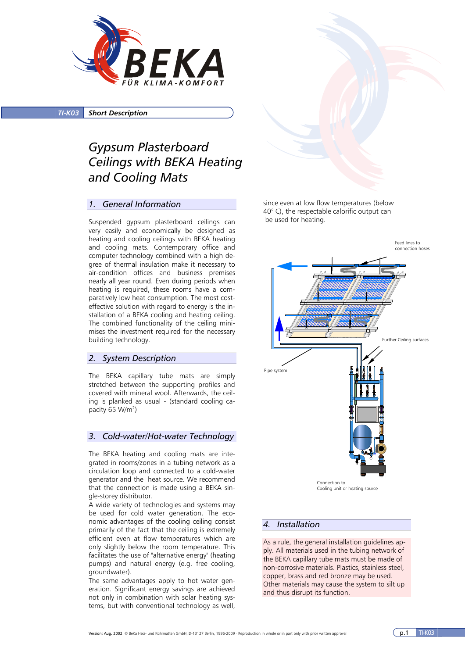

*TI-K03 Short Description*

# *Gypsum Plasterboard Ceilings with BEKA Heating and Cooling Mats*

#### *1. General Information*

Suspended gypsum plasterboard ceilings can very easily and economically be designed as heating and cooling ceilings with BEKA heating and cooling mats. Contemporary office and computer technology combined with a high degree of thermal insulation make it necessary to air-condition offices and business premises nearly all year round. Even during periods when heating is required, these rooms have a comparatively low heat consumption. The most costeffective solution with regard to energy is the installation of a BEKA cooling and heating ceiling. The combined functionality of the ceiling minimises the investment required for the necessary building technology.

#### *2. System Description*

The BEKA capillary tube mats are simply stretched between the supporting profiles and covered with mineral wool. Afterwards, the ceiling is planked as usual - (standard cooling capacity 65 W/m<sup>2</sup>)

### *3. Cold-water/Hot-water Technology*

The BEKA heating and cooling mats are integrated in rooms/zones in a tubing network as a circulation loop and connected to a cold-water generator and the heat source. We recommend that the connection is made using a BEKA single-storey distributor.

A wide variety of technologies and systems may be used for cold water generation. The economic advantages of the cooling ceiling consist primarily of the fact that the ceiling is extremely efficient even at flow temperatures which are only slightly below the room temperature. This facilitates the use of "alternative energy" (heating pumps) and natural energy (e.g. free cooling, groundwater).

The same advantages apply to hot water generation. Significant energy savings are achieved not only in combination with solar heating systems, but with conventional technology as well,

since even at low flow temperatures (below 40° C), the respectable calorific output can be used for heating.



### *4. Installation*

As a rule, the general installation guidelines apply. All materials used in the tubing network of the BEKA capillary tube mats must be made of non-corrosive materials. Plastics, stainless steel, copper, brass and red bronze may be used. Other materials may cause the system to silt up and thus disrupt its function.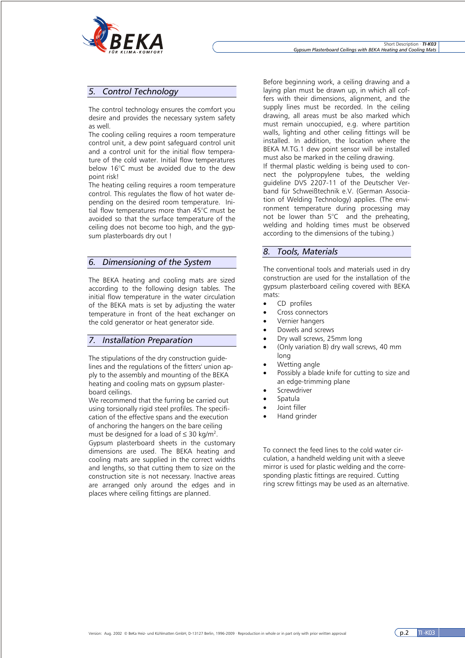

### *5. Control Technology*

The control technology ensures the comfort you desire and provides the necessary system safety as well.

The cooling ceiling requires a room temperature control unit, a dew point safeguard control unit and a control unit for the initial flow temperature of the cold water. Initial flow temperatures below 16°C must be avoided due to the dew point risk!

The heating ceiling requires a room temperature control. This regulates the flow of hot water depending on the desired room temperature. Initial flow temperatures more than 45°C must be avoided so that the surface temperature of the ceiling does not become too high, and the gypsum plasterboards dry out !

#### *6. Dimensioning of the System*

The BEKA heating and cooling mats are sized according to the following design tables. The initial flow temperature in the water circulation of the BEKA mats is set by adjusting the water temperature in front of the heat exchanger on the cold generator or heat generator side.

### *7. Installation Preparation*

The stipulations of the dry construction guidelines and the regulations of the fitters' union apply to the assembly and mounting of the BEKA heating and cooling mats on gypsum plasterboard ceilings.

We recommend that the furring be carried out using torsionally rigid steel profiles. The specification of the effective spans and the execution of anchoring the hangers on the bare ceiling must be designed for a load of  $\leq$  30 kg/m<sup>2</sup>.

Gypsum plasterboard sheets in the customary dimensions are used. The BEKA heating and cooling mats are supplied in the correct widths and lengths, so that cutting them to size on the construction site is not necessary. Inactive areas are arranged only around the edges and in places where ceiling fittings are planned.

Before beginning work, a ceiling drawing and a laying plan must be drawn up, in which all coffers with their dimensions, alignment, and the supply lines must be recorded. In the ceiling drawing, all areas must be also marked which must remain unoccupied, e.g. where partition walls, lighting and other ceiling fittings will be installed. In addition, the location where the BEKA M.TG.1 dew point sensor will be installed must also be marked in the ceiling drawing.

If thermal plastic welding is being used to connect the polypropylene tubes, the welding guideline DVS 2207-11 of the Deutscher Verband für Schweißtechnik e.V. (German Association of Welding Technology) applies. (The environment temperature during processing may not be lower than  $5^{\circ}$ C and the preheating, welding and holding times must be observed according to the dimensions of the tubing.)

#### *8. Tools, Materials*

The conventional tools and materials used in dry construction are used for the installation of the gypsum plasterboard ceiling covered with BEKA mats:

- CD profiles
- Cross connectors
- Vernier hangers
- Dowels and screws
- Dry wall screws, 25mm long
- (Only variation B) dry wall screws, 40 mm long
- Wetting angle
- Possibly a blade knife for cutting to size and an edge-trimming plane
- **Screwdriver**
- Spatula
- Joint filler
- Hand grinder

To connect the feed lines to the cold water circulation, a handheld welding unit with a sleeve mirror is used for plastic welding and the corresponding plastic fittings are required. Cutting ring screw fittings may be used as an alternative.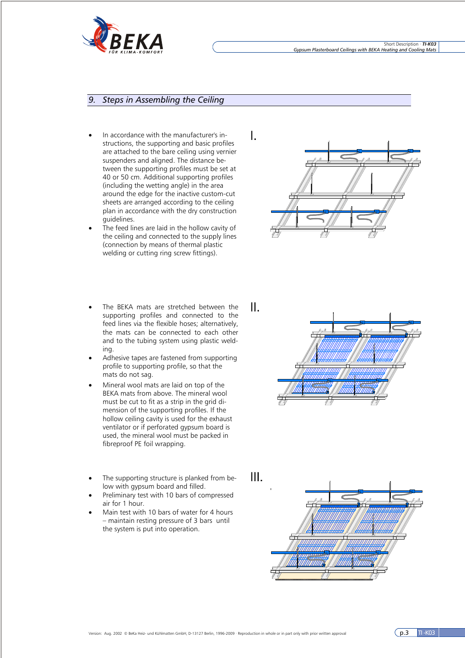

### *9. Steps in Assembling the Ceiling*

- In accordance with the manufacturer's instructions, the supporting and basic profiles are attached to the bare ceiling using vernier suspenders and aligned. The distance between the supporting profiles must be set at 40 or 50 cm. Additional supporting profiles (including the wetting angle) in the area around the edge for the inactive custom-cut sheets are arranged according to the ceiling plan in accordance with the dry construction guidelines.
- The feed lines are laid in the hollow cavity of the ceiling and connected to the supply lines (connection by means of thermal plastic welding or cutting ring screw fittings).
- The BEKA mats are stretched between the supporting profiles and connected to the feed lines via the flexible hoses; alternatively, the mats can be connected to each other and to the tubing system using plastic welding.
- Adhesive tapes are fastened from supporting profile to supporting profile, so that the mats do not sag.
- Mineral wool mats are laid on top of the BEKA mats from above. The mineral wool must be cut to fit as a strip in the grid dimension of the supporting profiles. If the hollow ceiling cavity is used for the exhaust ventilator or if perforated gypsum board is used, the mineral wool must be packed in fibreproof PE foil wrapping.
- The supporting structure is planked from below with gypsum board and filled.
- Preliminary test with 10 bars of compressed air for 1 hour.
- Main test with 10 bars of water for 4 hours – maintain resting pressure of 3 bars until the system is put into operation.





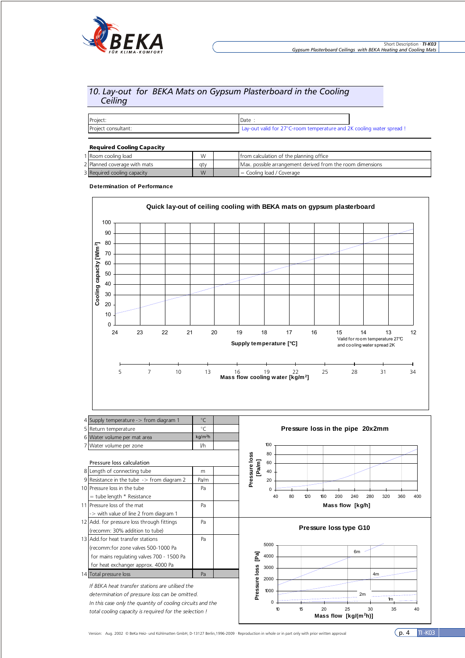

### *10. Lay-out for BEKA Mats on Gypsum Plasterboard in the Cooling Ceiling*

| Project:            | Date                                                                  |  |
|---------------------|-----------------------------------------------------------------------|--|
| Project consultant: | Lay-out valid for 27°C-room temperature and 2K cooling water spread ! |  |

#### Required Cooling Capacity

| 1 I Room coolina load        | W   | Ifrom calculation of the planning office                   |
|------------------------------|-----|------------------------------------------------------------|
| 2 Planned coverage with mats | atv | Max, possible arrangement derived from the room dimensions |
| 3 Required cooling capacity  | W   | $\vert$ = Cooling load / Coverage                          |

#### **Determination of Performance**

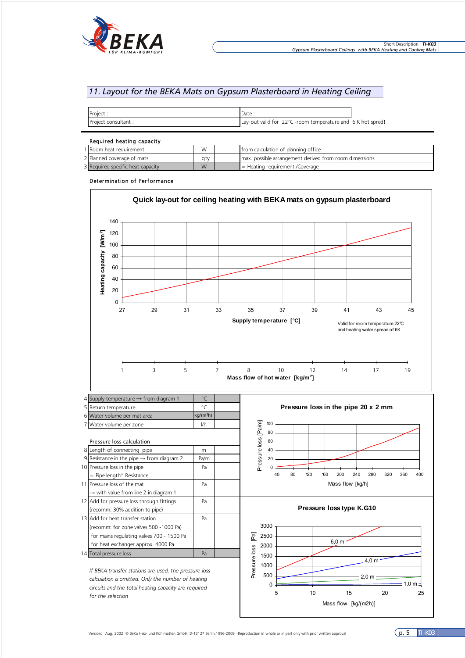

### *11. Layout for the BEKA Mats on Gypsum Plasterboard in Heating Ceiling*

| Project             | Date                                                                 |  |
|---------------------|----------------------------------------------------------------------|--|
| Project consultant: | <b>Lay-out valid for 22 °C</b> -room temperature and $6K$ hot spred! |  |

#### Required heating capacity

| <b>Regulied Heating Capacity</b>  |     |  |                                                          |
|-----------------------------------|-----|--|----------------------------------------------------------|
| I I Room heat requirement         | W   |  | I from calculation of planning office                    |
| 2 Planned coverage of mats        | atv |  | I max, possible arrangement derived from room dimensions |
| 3 Required specific heat capacity | W   |  | $=$ Heating requirement /Coverage                        |

#### Determination of Performance